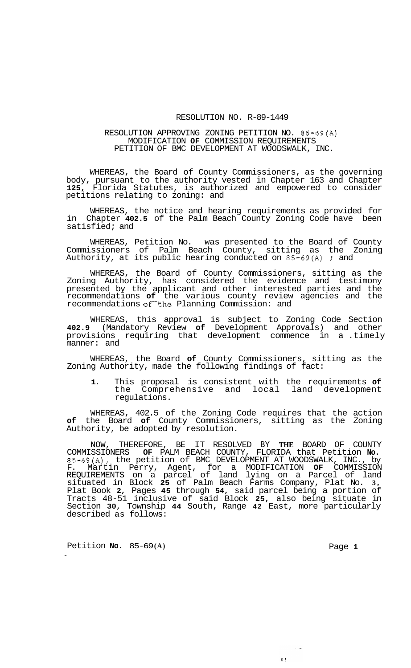## RESOLUTION NO. R-89-1449

## RESOLUTION APPROVING ZONING PETITION NO. 85-69(A) MODIFICATION **OF** COMMISSION REQUIREMENTS PETITION OF BMC DEVELOPMENT AT WOODSWALK, INC.

WHEREAS, the Board of County Commissioners, as the governing body, pursuant to the authority vested in Chapter 163 and Chapter **125,** Florida Statutes, is authorized and empowered to consider petitions relating to zoning: and

WHEREAS, the notice and hearing requirements as provided for in Chapter **402.5** of the Palm Beach County Zoning Code have been satisfied; and

WHEREAS, Petition No. was presented to the Board of County Commissioners of Palm Beach County, sitting as the Zoning Authority, at its public hearing conducted on 85-69(A) ; and

WHEREAS, the Board of County Commissioners, sitting as the Zoning Authority, has considered the evidence and testimony presented by the applicant and other interested parties and the recommendations **of** the various county review agencies and the recommendations of the Planning Commission: and

WHEREAS, this approval is subject to Zoning Code Section **402.9** (Mandatory Review **of** Development Approvals) and other provisions requiring that development commence in a .timely manner: and

WHEREAS, the Board **of** County Commissioners, sitting as the Zoning Authority, made the following findings of fact:

**1.** This proposal is consistent with the requirements **of**  the Comprehensive and local land development regulations.

WHEREAS, 402.5 of the Zoning Code requires that the action **of** the Board **of** County Commissioners, sitting as the Zoning Authority, be adopted by resolution.

NOW, THEREFORE, BE IT RESOLVED BY **THE** BOARD OF COUNTY COMMISSIONERS **OF** PALM BEACH COUNTY, FLORIDA that Petition **No.**  85-69(A), the petition of BMC DEVELOPMENT AT WOODSWALK, INC., by F. Martin Perry, Agent, for a MODIFICATION **OF** COMMISSION REQUIREMENTS on a parcel of land lying on a Parcel of land situated in Block **25** of Palm Beach Farms Company, Plat No. **3,**  Plat Book **2,** Pages **45** through **54,** said parcel being a portion of Tracts 48-51 inclusive of said Block **25,** also being situate in Section **30,** Township **44** South, Range **42** East, more particularly described as follows:

Petition **No.** 85-69(**A**) **Page 1** 

 $\sim$   $\sim$ 

 $3.3$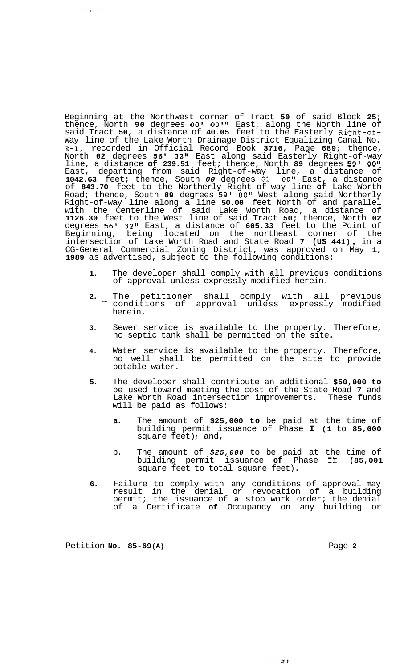Beginning at the Northwest corner of Tract **50** of said Block **25;**  thence, North **90** degrees *00' 00'* East, along the North line of said Tract **50,** a distance of **40.05** feet to the Easterly Right-of-Way line of the Lake Worth Drainage District Equalizing Canal No. **E-1,** recorded in Official Record Book **3716,** Page **689;** thence, North **02** degrees **56' 32"** East along said Easterly Right-of-way line, a distance **of 239.51** feet; thence, North **89** degrees **59' 0011**  East, departing from said Right-of-way line, a distance of **1042.63** feet; thence, South *00* degrees **01' O08g** East, a distance of **843.70** feet to the Northerly Right-of-way line **of** Lake Worth Road; thence, South **89** degrees **59'** *00"* West along said Northerly Right-of-way line along a line **50.00** feet North of and parallel with the Centerline of said Lake Worth Road, a distance of **1126.30** feet to the West line of said Tract **50;** thence, North **02**  degrees **56' 32"** East, a distance of **605.33** feet to the Point of Beginning, being located on the northeast corner of the intersection of Lake Worth Road and State Road **7 (US 441)** , in a CG-General Commercial Zoning District, was approved on May **1, 1989** as advertised, subject to the following conditions:

- **1.** The developer shall comply with **all** previous conditions of approval unless expressly modified herein.
- **2.** The petitioner shall comply with all previous conditions of approval unless expressly modified herein. -
- **3.** Sewer service is available to the property. Therefore, no septic tank shall be permitted on the site.
- **4.** Water service is available to the property. Therefore, no well shall be permitted on the site to provide potable water.
- **5.** The developer shall contribute an additional **\$50,000 to**  be used toward meeting the cost of the State Road **7** and Lake Worth Road intersection improvements. These funds will be paid as follows:
	- **a.** The amount of **\$25,000 to** be paid at the time of building permit issuance of Phase **I (1** to **85,000**  square feet) ; and,
	- b. The amount of *\$25,000* to be paid at the time of building permit issuance of Phase II square feet to total square feet).
- **6.** Failure to comply with any conditions of approval may result in the denial or revocation of a building permit; the issuance of **a** stop work order; the denial of a Certificate **of** Occupancy on any building or

Petition **No.** 85-69(A) **Page 2 Page 2** 

 $\chi \sim \lambda_{\rm eff}$  $\sim 10$